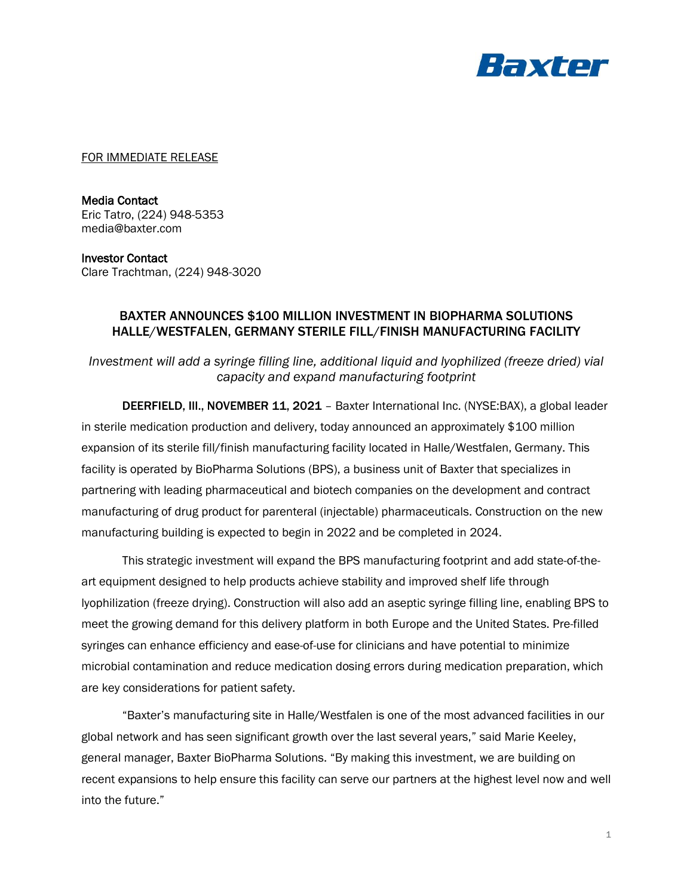

FOR IMMEDIATE RELEASE

Media Contact Eric Tatro, (224) 948-5353 media@baxter.com

Investor Contact Clare Trachtman, (224) 948-3020

## BAXTER ANNOUNCES \$100 MILLION INVESTMENT IN BIOPHARMA SOLUTIONS HALLE/WESTFALEN, GERMANY STERILE FILL/FINISH MANUFACTURING FACILITY

*Investment will add a syringe filling line, additional liquid and lyophilized (freeze dried) vial capacity and expand manufacturing footprint*

DEERFIELD, III., NOVEMBER 11, 2021 - Baxter International Inc. (NYSE: BAX), a global leader in sterile medication production and delivery, today announced an approximately \$100 million expansion of its sterile fill/finish manufacturing facility located in Halle/Westfalen, Germany. This facility is operated by BioPharma Solutions (BPS), a business unit of Baxter that specializes in partnering with leading pharmaceutical and biotech companies on the development and contract manufacturing of drug product for parenteral (injectable) pharmaceuticals. Construction on the new manufacturing building is expected to begin in 2022 and be completed in 2024.

This strategic investment will expand the BPS manufacturing footprint and add state-of-theart equipment designed to help products achieve stability and improved shelf life through lyophilization (freeze drying). Construction will also add an aseptic syringe filling line, enabling BPS to meet the growing demand for this delivery platform in both Europe and the United States. Pre-filled syringes can enhance efficiency and ease-of-use for clinicians and have potential to minimize microbial contamination and reduce medication dosing errors during medication preparation, which are key considerations for patient safety.

"Baxter's manufacturing site in Halle/Westfalen is one of the most advanced facilities in our global network and has seen significant growth over the last several years," said Marie Keeley, general manager, Baxter BioPharma Solutions. "By making this investment, we are building on recent expansions to help ensure this facility can serve our partners at the highest level now and well into the future."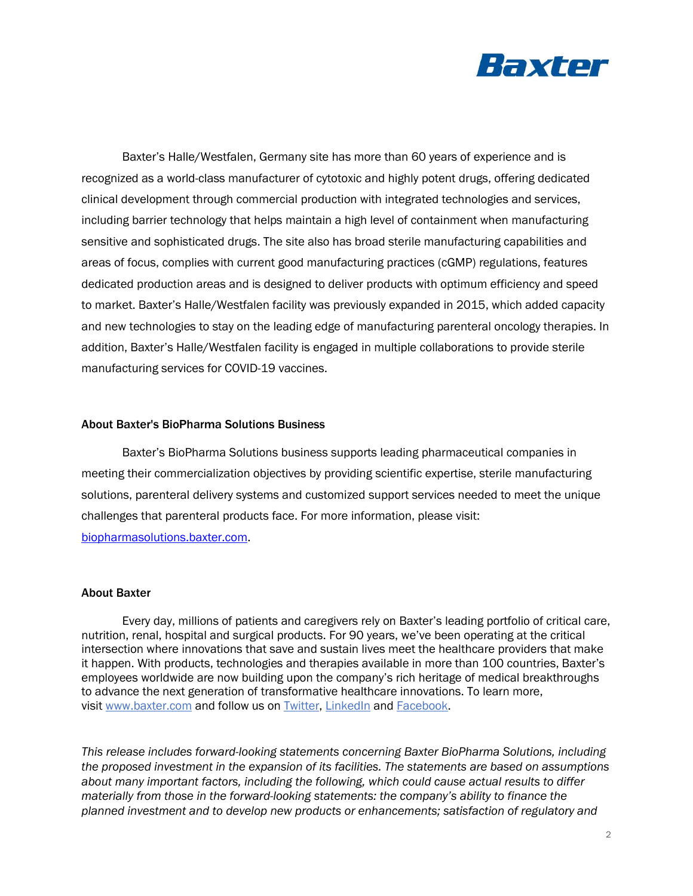

Baxter's Halle/Westfalen, Germany site has more than 60 years of experience and is recognized as a world-class manufacturer of cytotoxic and highly potent drugs, offering dedicated clinical development through commercial production with integrated technologies and services, including barrier technology that helps maintain a high level of containment when manufacturing sensitive and sophisticated drugs. The site also has broad sterile manufacturing capabilities and areas of focus, complies with current good manufacturing practices (cGMP) regulations, features dedicated production areas and is designed to deliver products with optimum efficiency and speed to market. Baxter's Halle/Westfalen facility was previously expanded in 2015, which added capacity and new technologies to stay on the leading edge of manufacturing parenteral oncology therapies. In addition, Baxter's Halle/Westfalen facility is engaged in multiple collaborations to provide sterile manufacturing services for COVID-19 vaccines.

## About Baxter's BioPharma Solutions Business

Baxter's BioPharma Solutions business supports leading pharmaceutical companies in meeting their commercialization objectives by providing scientific expertise, sterile manufacturing solutions, parenteral delivery systems and customized support services needed to meet the unique challenges that parenteral products face. For more information, please visit:

[biopharmasolutions.baxter.com.](https://biopharmasolutions.baxter.com/)

## About Baxter

Every day, millions of patients and caregivers rely on Baxter's leading portfolio of critical care, nutrition, renal, hospital and surgical products. For 90 years, we've been operating at the critical intersection where innovations that save and sustain lives meet the healthcare providers that make it happen. With products, technologies and therapies available in more than 100 countries, Baxter's employees worldwide are now building upon the company's rich heritage of medical breakthroughs to advance the next generation of transformative healthcare innovations. To learn more, visit [www.baxter.com](http://www.baxter.com/) and follow us on [Twitter,](https://twitter.com/baxter_intl?ref_src=twsrc%5Egoogle%7Ctwcamp%5Eserp%7Ctwgr%5Eauthor) [LinkedIn](https://www.linkedin.com/company/baxter-healthcare/) and [Facebook.](https://www.facebook.com/BaxterInternationalInc/)

*This release includes forward-looking statements concerning Baxter BioPharma Solutions, including the proposed investment in the expansion of its facilities. The statements are based on assumptions about many important factors, including the following, which could cause actual results to differ materially from those in the forward-looking statements: the company's ability to finance the planned investment and to develop new products or enhancements; satisfaction of regulatory and*